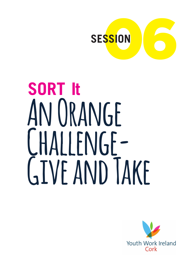

# **SORT It An Orange Challenge-Give and Take**

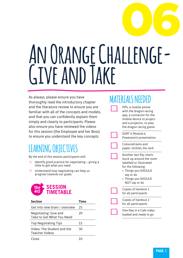# 06 **An Orange Challenge-Give and Take**

As always, please ensure you have thoroughly read the introductory chapter and the literature review to ensure you are familiar with all of the concepts and models, and that you can confidently explain them simply and clearly to participants. Please also ensure you have reviewed the videos for this session (the Employee and her Boss) to ensure you understand the key concepts.

# **LEARNING OBJECTIVES**

By the end of this session participants will:

- $\triangleright$  Identify good practice for negotiating giving a little to get what you need
- $\triangleright$  Understand how negotiating can help us progress towards our goals.



| <b>Section</b>                                     | Time |
|----------------------------------------------------|------|
| Get into new brain / overview                      | 25   |
| Negotiating: Give and<br>Take to Get What You Need | 20   |
| <b>Top Negotiating Tips</b>                        | 15   |
| Video: The Student and the<br>Teacher Videos       | 30   |
| $\bigcap$                                          |      |

# **MATERIALS NEEDED**

PIPs, a mobile phone with the dragon-racing app, a connector for the mobile device to project and a projector, to play the dragon racing game

SORT It Module 6 Powerpoint presentation

Coloured pens and paper, stickies, blu tack

Another two flip charts stuck up around the room labelled or illustrated for the following:

- » Things you SHOULD say or do
- » Things you SHOULD NOT say or do

Copies of handout 1 for all participants

Copies of handout 2 for all participants

One Day in a Cafe video loaded and ready to go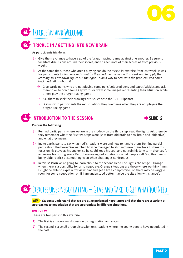



## **MIN TRICKLE IN / GETTING INTO NEW BRAIN**

As participants trickle in:

**20**

- $\triangleright$  Give them a chance to have a go of the 'dragon racing' game against one another. Be sure to facilitate discussions around their scores, and to keep note of their scores as from previous weeks
- $\triangleright$  At the same time, those who aren't playing can do the *trickle in* exercise from last week. It was for participants to*: find one red situation they find themselves in this week and to apply the learning, to slow down, figure out their goal, plan a way to deal with the problem, and come back and tell us about it*
	- $\rightarrow$  Give participants who are not playing some pens/coloured pens and paper/stickies and ask them to write down some key words or draw some images representing their situation, while others play the dragon-racing game
	- $\rightarrow$  Ask them to stick their drawings or stickies onto the 'RED' Flipchart
	- $\rightarrow$  Discuss with participants the red situations they overcame when they are not playing the dragon-racing game

#### **5 INTRODUCTION TO THE SESSION EXAMPLE 2**



#### **Discuss the following:**

- $\triangleright$  Remind participants where we are in the model on the third step; read the lights. Ask them do they remember what the first two steps were (shift from old brain to new brain and 'objective') and what they mean.
- $\triangleright$  Invite participants to say what 'red' situations were and how to handle them. Remind participants about the boxer: We watched how he managed to shift into new brain, take his breaths, focus on his glove as his anchor, so he could keep his cool and not ruin his long term chances for achieving his boxing goals. Part of managing red situations is what people call Grit, this means being able to stick at something even when challenges confront us.
- w In **this session** we're going to learn about to the second Read The Lights challenge Orange when there is a possibility for us to negotiate. Orange situations are those where we think 'hmm, I might be able to explain my viewpoint and get a little compromise', or 'there may be wriggle room for some negotiation' or 'If I am understood better maybe the situation will change'..

# **20 MIN Exercise One: Negotiating – Give and Take to Get What You Need**

#### **AIM Students understand that we are all experienced negotiators and that there are a variety of approaches to negotiation that are appropriate in different situations.**

#### **OVERVIEW**

There are two parts to this exercise,

- **1)** The first is an overview discussion on negotiation and styles
- **2)** The second is a small group discussion on situations where the young people have negotiated in the past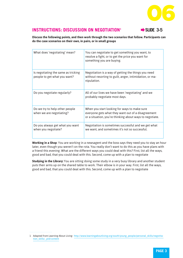

## **INSTRUCTIONS: DISCUSSION ON NEGOTIATION<sup>1</sup>**  $\rightarrow$  **SLIDE 3-5**

**Discuss the following points, and then work through the two scenarios that follow. Participants can do the case scenarios on their own, in pairs, or in small groups**

| What does 'negotiating' mean?                                       | You can negotiate to get something you want, to<br>resolve a fight, or to get the price you want for<br>something you are buying.                              |
|---------------------------------------------------------------------|----------------------------------------------------------------------------------------------------------------------------------------------------------------|
| Is negotiating the same as tricking<br>people to get what you want? | Negotiation is a way of getting the things you need<br>without resorting to guilt, anger, intimidation, or ma-<br>nipulation.                                  |
| Do you negotiate regularly?                                         | All of our lives we have been 'negotiating' and we<br>probably negotiate most days.                                                                            |
| Do we try to help other people<br>when we are negotiating?          | When you start looking for ways to make sure<br>everyone gets what they want out of a disagreement<br>or a situation, you're thinking about ways to negotiate. |
| Do you always get what you want<br>when you negotiate?              | Negotiation is sometimes successful and we get what<br>we want, and sometimes it's not so successful.                                                          |

**Working in a Shop**: You are working in a newsagent and the boss says they need you to stay an hour later, even though you weren't on the rota. You really don't want to do this as you have plans with a friend this evening. What are the different ways you could deal with this? First, list all the ways, good and bad, that you could deal with this. Second, come up with a plan to negotiate

**Studying in the Library:** You are sitting doing some study in a very busy library and another student puts their arms up on the shared table to work. Their elbow is in your way. First, list all the ways, good and bad, that you could deal with this. Second, come up with a plan to negotiate

<sup>1</sup> Adapted from Learning About Living: http://www.learningaboutliving.org/south/young\_people/personal\_skills/negotitation\_skills/\_pid/content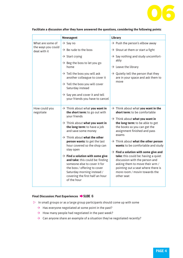

|                                                        | <b>Newsagent</b>                                                                                                                                                                                                                                                                                                                                                                                                                                                                                                                                                | <b>Library</b>                                                                                                                                                                                                                                                                                                                                                                                                                                                                                                                                                                           |
|--------------------------------------------------------|-----------------------------------------------------------------------------------------------------------------------------------------------------------------------------------------------------------------------------------------------------------------------------------------------------------------------------------------------------------------------------------------------------------------------------------------------------------------------------------------------------------------------------------------------------------------|------------------------------------------------------------------------------------------------------------------------------------------------------------------------------------------------------------------------------------------------------------------------------------------------------------------------------------------------------------------------------------------------------------------------------------------------------------------------------------------------------------------------------------------------------------------------------------------|
| What are some of<br>the ways you could<br>deal with it | $\rightarrow$ Say no                                                                                                                                                                                                                                                                                                                                                                                                                                                                                                                                            | $\rightarrow$ Push the person's elbow away                                                                                                                                                                                                                                                                                                                                                                                                                                                                                                                                               |
|                                                        | $\rightarrow$ Be rude to the boss                                                                                                                                                                                                                                                                                                                                                                                                                                                                                                                               | $\rightarrow$ Shout at them or start a fight                                                                                                                                                                                                                                                                                                                                                                                                                                                                                                                                             |
|                                                        | $\rightarrow$ Start crying                                                                                                                                                                                                                                                                                                                                                                                                                                                                                                                                      | $\rightarrow$ Say nothing and study uncomfort-                                                                                                                                                                                                                                                                                                                                                                                                                                                                                                                                           |
|                                                        | $\rightarrow$ Beg the boss to let you go<br>home                                                                                                                                                                                                                                                                                                                                                                                                                                                                                                                | ably<br>$\rightarrow$ Leave the library                                                                                                                                                                                                                                                                                                                                                                                                                                                                                                                                                  |
|                                                        | $\rightarrow$ Tell the boss you will ask<br>another colleague to cover it                                                                                                                                                                                                                                                                                                                                                                                                                                                                                       | $\rightarrow$ Quietly tell the person that they<br>are in your space and ask them to                                                                                                                                                                                                                                                                                                                                                                                                                                                                                                     |
|                                                        | $\rightarrow$ Tell the boss you will cover<br>Saturday instead                                                                                                                                                                                                                                                                                                                                                                                                                                                                                                  | move                                                                                                                                                                                                                                                                                                                                                                                                                                                                                                                                                                                     |
|                                                        | $\rightarrow$ Say yes and cover it and tell<br>your friends you have to cancel                                                                                                                                                                                                                                                                                                                                                                                                                                                                                  |                                                                                                                                                                                                                                                                                                                                                                                                                                                                                                                                                                                          |
| How could you<br>negotiate                             | $\rightarrow$ Think about what you want in<br>the short term: to go out with<br>your friends<br>$\rightarrow$ Think about what you want in<br>the long term: to have a job<br>and save some money<br>$\rightarrow$ Think about what the other<br>person wants: to get the last<br>hour covered so the shop can<br>stay open<br>$\rightarrow$ Find a solution with some give<br>and take: this could be: finding<br>someone else to cover it for<br>the boss / offering to cover<br>Saturday morning instead /<br>covering the first half an hour<br>of the hour | $\rightarrow$ Think about what you want in the<br>short term: to be comfortable<br>$\rightarrow$ Think about what you want in<br>the long term: to be able to get<br>the books so you can get the<br>assignment finished and pass<br>exams<br>$\rightarrow$ Think about what the other person<br>wants: to be comfortable and study<br>$\rightarrow$ Find a solution with some give and<br>take: this could be: having a quiet<br>discussion with the person and<br>asking them to move their arm /<br>pointing out a seat where there is<br>more room / movin towards the<br>other seat |

#### **Facilitate a discussion after they have answered the questions, considering the following points:**

#### **Final Discussion: Past Experiences**  $\rightarrow$  **SLIDE 6**

- $\triangleright$  In small groups or as a large group participants should come up with some
	- $\rightarrow$  Has everyone negotiated at some point in the past?
	- $\rightarrow$  How many people had negotiated in the past week?
	- $\rightarrow$  Can anyone share an example of a situation they've negotiated recently?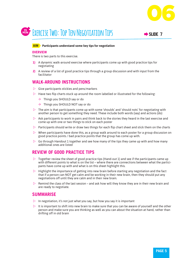

# **15. EXERCISE TWO: TOP TEN NEGOTIATION TIPS**  $\rightarrow$  **slide 7**

#### **AIM Participants understand some key tips for negotiation**

#### **OVERVIEW**

There is two parts to this exercise.

- **1)** A dynamic walk-around exercise where participants come up with good practice tips for negotiating
- **2)** A review of a list of good practice tips through a group discussion and with input from the facilitator

### **WALK-AROUND INSTRUCTIONS**

- $\triangleright$  Give participants stickies and pens/markers
- $\triangleright$  Have two flip charts stuck up around the room labelled or illustrated for the following:
	- $\rightarrow$  Things you SHOULD say or do
	- $\rightarrow$  Things you SHOULD NOT say or do
- $\triangleright$  The aim is that participants come up with some 'shoulds' and 'should nots' for negotiating with another person to get something they need. These include both words (say) and actions (do)
- $\triangleright$  Ask participants to work in pairs and think back to the stories they heard in the last exercise and come up with one or two things to stick on each poster
- $\triangleright$  Participants should write or draw two things for each flip chart sheet and stick them on the charts
- $\triangleright$  When participants have done this, as a group walk around to each poster for a group discussion on good practice points / bad practice points that the group has come up with.
- $\triangleright$  Go through Handout 1 together and see how many of the tips they came up with and how many additional ones are listed

### **REVIEW OF GOOD PRACTICE TIPS**

- $\triangleright$  Together review the sheet of good practice tips (Hand-out 1) and see if the participants came up with different points to what is on the list – where there are connections between what the participants have come up with and what is on this sheet highlight this.
- $\triangleright$  Highlight the importance of getting into new brain before starting any negotiation and the fact that if a person can NOT get calm and be working in their new brain, then they should put any negotiations off until they are calm and in their new brain.
- $\triangleright$  Remind the class of the last session and ask how will they know they are in their new brain and are ready to negotiate.

#### **SUMMARISE**

- $\triangleright$  In negotiation, it's not just what you say, but how you say it is important
- $\triangleright$  It is important to shift into new brain to make sure that you can be aware of yourself and the other person and make sure you are thinking as well as you can about the situation at hand, rather than drifting off in old brain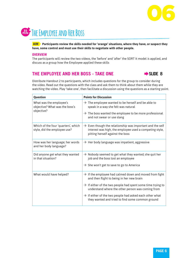



**AIM Participants review the skills needed for 'orange' situations, where they have, or suspect they have, some control and must use their skills to negotiate with other people.**

#### **OVERVIEW**

The participants will review the two videos, the 'before' and 'after' the SORT It model is applied, and discuss as a group how the Employee applied these skills

#### THE EMPLOYEE AND HER BOSS - TAKE ONE **A** SLIDE 8



Distribute Handout 2 to participants, which includes questions for the group to consider during the video. Read out the questions with the class and ask them to think about them while they are watching the video. Play 'take one', then facilitate a discussion using the questions as a starting point.

| <b>Question</b>                                                         | <b>Points for Discussion</b>                                                                                                                                         |
|-------------------------------------------------------------------------|----------------------------------------------------------------------------------------------------------------------------------------------------------------------|
| What was the employee's<br>objective? What was the boss's<br>objective? | $\rightarrow$ The employee wanted to be herself and be able to<br>speak in a way she felt was natural                                                                |
|                                                                         | $\rightarrow$ The boss wanted the employee to be more professional<br>and not swear or use slang                                                                     |
| Which of the four 'quarters', which<br>style, did the employee use?     | $\rightarrow$ Even though the relationship was important and the self<br>interest was high, the employee used a competing style,<br>pitting herself against the boss |
| How was her language; her words<br>and her body language?               | $\rightarrow$ Her body language was impatient, aggressive                                                                                                            |
| Did anyone get what they wanted<br>in that situation?                   | $\rightarrow$ Nobody seemed to get what they wanted; she quit her<br>job and the boss lost an employee                                                               |
|                                                                         | $\rightarrow$ She won't get to save to go to America                                                                                                                 |
| What would have helped?                                                 | $\rightarrow$ If the employee had calmed down and moved from fight<br>and then flight to being in her new brain                                                      |
|                                                                         | $\rightarrow$ If either of the two people had spent some time trying to<br>understand where the other person was coming from                                         |
|                                                                         | $\rightarrow$ If either of the two people had asked each other what<br>they wanted and tried to find some common ground                                              |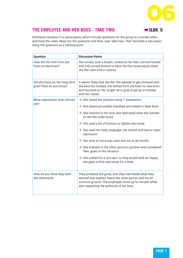

## THE EMPLOYEE AND HER BOSS - TAKE TWO ← SLIDE 9



Distribute Handout 3 to participants, which include questions for the group to consider when watching the video. Read out the questions and then, play 'take two', then facilitate a discussion using the questions as a starting point.

| Question                                                 | <b>Discussion Points</b>                                                                                                                                                                                               |
|----------------------------------------------------------|------------------------------------------------------------------------------------------------------------------------------------------------------------------------------------------------------------------------|
| How did she shift from old<br>brain to new brain?        | She turned, took a breath, looked at her feet, centred herself<br>and only turned around to have the the conversation when<br>she felt calm and in control.                                                            |
| Did she focus on her long-term<br>goal? How do you know? | It seems likely that she did. She wanted to get annoyed with<br>the boss but instead, she shifted from old brain to new brain<br>and focussed on her longer term goal of going on holiday<br>with her mates.           |
| What negotiation skills did she<br>use?                  | $\rightarrow$ She stated her position using 'I' statements                                                                                                                                                             |
|                                                          | $\rightarrow$ She stayed grounded; breathed and stayed in New Brain                                                                                                                                                    |
|                                                          | $\rightarrow$ She listened to her boss and rephrased what she wanted<br>so she felt understood                                                                                                                         |
|                                                          | $\rightarrow$ She used a bit of humour to lighten the mood                                                                                                                                                             |
|                                                          | $\rightarrow$ She used her body language; she smiled and had an open<br>expression                                                                                                                                     |
|                                                          | $\rightarrow$ Her tone of voice was calm and not at all hostile                                                                                                                                                        |
|                                                          | $\rightarrow$ She listened to the other person's position and considered<br>their goals in this situation                                                                                                              |
|                                                          | $\rightarrow$ She looked for a 'win-win' so they would both be happy,<br>she gave a little and asked for a little.                                                                                                     |
| How do you think they both<br>felt afterwards            | They probably felt good, that they had stated what they<br>wanted and needed, heard the other person and found<br>common ground. The employee stood up for herself while<br>also respecting the authority of her boss. |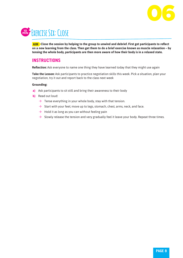

# **10 MIN Exercise Six: Close**

**AIM Close the session by helping to the group to unwind and debrief. First get participants to reflect on a new learning from the class. Then get them to do a brief exercise known as muscle relaxation – by tensing the whole body, participants are then more aware of how their body is in a relaxed state.** 

## **INSTRUCTIONS**

**Reflection:** Ask everyone to name one thing they have learned today that they might use again

**Take the Lesson:** Ask participants to practice negotiation skills this week. Pick a situation, plan your negotiation, try it out and report back to the class next week

#### **Grounding:**

- **a)** Ask participants to sit still and bring their awareness to their body
- **b)** Read out loud:
	- $\rightarrow$  Tense everything in your whole body, stay with that tension.
	- $\rightarrow$  Start with your feet; move up to legs, stomach, chest, arms, neck, and face.
	- $\rightarrow$  Hold it as long as you can without feeling pain
	- $\rightarrow$  Slowly release the tension and very gradually feel it leave your body. Repeat three times.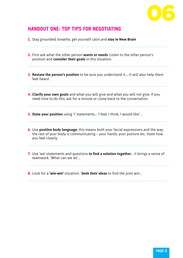

# **HANDOUT ONE: TOP TIPS FOR NEGOTIATING**

- **1.** Stay grounded; breathe, get yourself calm and **stay in New Brain**
- **2.** First ask what the other person **wants or needs**. Listen to the other person's position and **consider their goals** in this situation.
- **3. Restate the person's position** to be sure you understand it…. It will also help them feel heard
- **4. Clarify your own goals** and what you will give and what you will not give. If you need time to do this, ask for a minute or come back to the conversation.

**5. State your position** using 'I' statements… 'I feel, I think, I would like'…

- **6.** Use **positive body language**; this means both your facial expressions and the way the rest of your body is communicating – your hands, your posture etc. State how you feel clearly.
- **7.** Use 'we' statements and questions **to find a solution together**… it brings a sense of teamwork. 'What can we do'…
- **8.** Look for a **'win-win'** situation. **Seek their ideas** to find the joint win…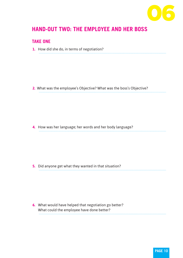

# **HAND-OUT TWO: THE EMPLOYEE AND HER BOSS**

## **TAKE ONE**

**1.** How did she do, in terms of negotiation?

**2.** What was the employee's Objective? What was the boss's Objective?

**4.** How was her language; her words and her body language?

**5.** Did anyone get what they wanted in that situation?

**6.** What would have helped that negotiation go better? What could the employee have done better?